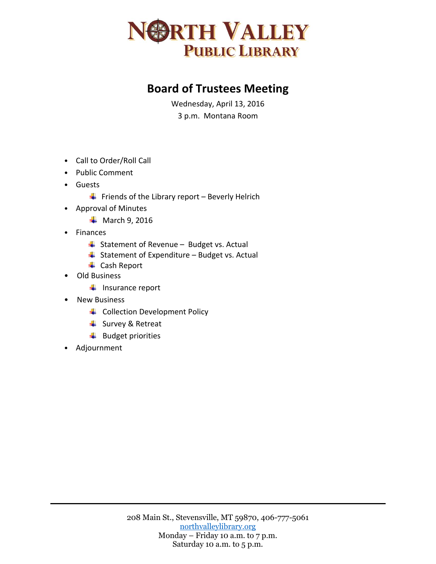

## **Board of Trustees Meeting**

Wednesday, April 13, 2016 3 p.m. Montana Room

- Call to Order/Roll Call
- Public Comment
- Guests
	- $\downarrow$  Friends of the Library report Beverly Helrich
- Approval of Minutes
	- $\overline{\phantom{1}}$  March 9, 2016
- Finances
	- $\overline{\phantom{a}}$  Statement of Revenue Budget vs. Actual
	- $\overline{\phantom{a}}$  Statement of Expenditure Budget vs. Actual
	- ← Cash Report
- Old Business
	- $\leftarrow$  Insurance report
- New Business
	- **↓** Collection Development Policy
	- $\frac{1}{2}$  Survey & Retreat
	- $\ddot{ }$  Budget priorities
- Adjournment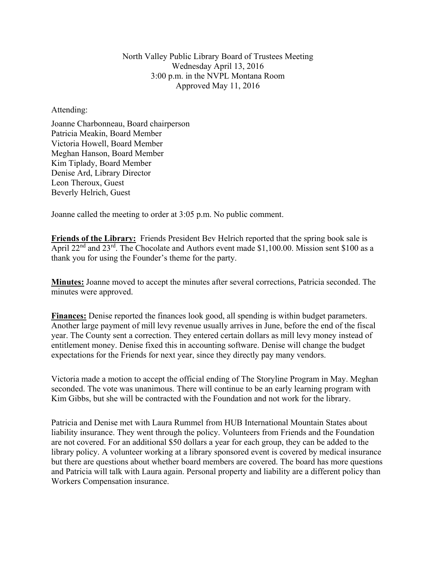North Valley Public Library Board of Trustees Meeting Wednesday April 13, 2016 3:00 p.m. in the NVPL Montana Room Approved May 11, 2016

Attending:

Joanne Charbonneau, Board chairperson Patricia Meakin, Board Member Victoria Howell, Board Member Meghan Hanson, Board Member Kim Tiplady, Board Member Denise Ard, Library Director Leon Theroux, Guest Beverly Helrich, Guest

Joanne called the meeting to order at 3:05 p.m. No public comment.

**Friends of the Library:** Friends President Bev Helrich reported that the spring book sale is April 22<sup>nd</sup> and 23<sup>rd</sup>. The Chocolate and Authors event made \$1,100.00. Mission sent \$100 as a thank you for using the Founder's theme for the party.

**Minutes:** Joanne moved to accept the minutes after several corrections, Patricia seconded. The minutes were approved.

**Finances:** Denise reported the finances look good, all spending is within budget parameters. Another large payment of mill levy revenue usually arrives in June, before the end of the fiscal year. The County sent a correction. They entered certain dollars as mill levy money instead of entitlement money. Denise fixed this in accounting software. Denise will change the budget expectations for the Friends for next year, since they directly pay many vendors.

Victoria made a motion to accept the official ending of The Storyline Program in May. Meghan seconded. The vote was unanimous. There will continue to be an early learning program with Kim Gibbs, but she will be contracted with the Foundation and not work for the library.

Patricia and Denise met with Laura Rummel from HUB International Mountain States about liability insurance. They went through the policy. Volunteers from Friends and the Foundation are not covered. For an additional \$50 dollars a year for each group, they can be added to the library policy. A volunteer working at a library sponsored event is covered by medical insurance but there are questions about whether board members are covered. The board has more questions and Patricia will talk with Laura again. Personal property and liability are a different policy than Workers Compensation insurance.